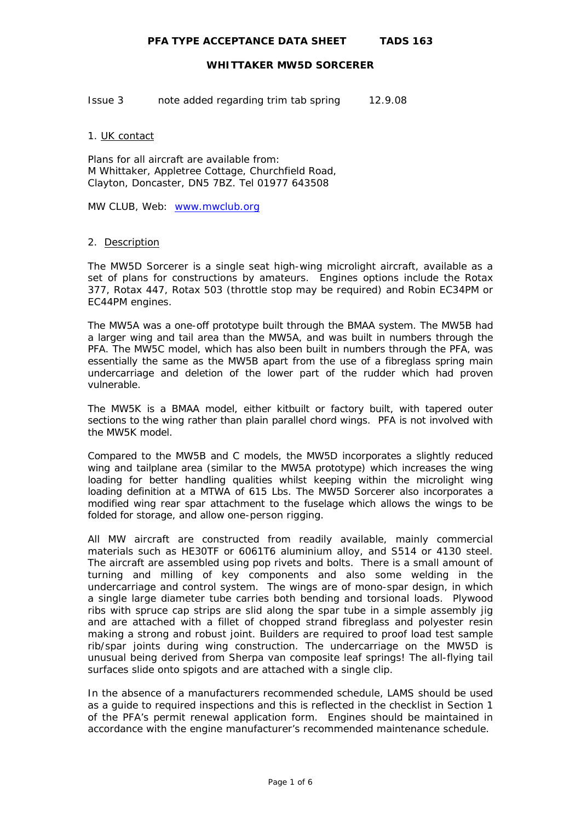Issue 3 note added regarding trim tab spring 12.9.08

## 1. UK contact

Plans for all aircraft are available from: M Whittaker, Appletree Cottage, Churchfield Road, Clayton, Doncaster, DN5 7BZ. Tel 01977 643508

MW CLUB, Web: [www.mwclub.org](http://www.mwclub.org/)

# 2. Description

The MW5D Sorcerer is a single seat high-wing microlight aircraft, available as a set of plans for constructions by amateurs. Engines options include the Rotax 377, Rotax 447, Rotax 503 (throttle stop may be required) and Robin EC34PM or EC44PM engines.

The MW5A was a one-off prototype built through the BMAA system. The MW5B had a larger wing and tail area than the MW5A, and was built in numbers through the PFA. The MW5C model, which has also been built in numbers through the PFA, was essentially the same as the MW5B apart from the use of a fibreglass spring main undercarriage and deletion of the lower part of the rudder which had proven vulnerable.

The MW5K is a BMAA model, either kitbuilt or factory built, with tapered outer sections to the wing rather than plain parallel chord wings. PFA is not involved with the MW5K model.

Compared to the MW5B and C models, the MW5D incorporates a slightly reduced wing and tailplane area (similar to the MW5A prototype) which increases the wing loading for better handling qualities whilst keeping within the microlight wing loading definition at a MTWA of 615 Lbs. The MW5D Sorcerer also incorporates a modified wing rear spar attachment to the fuselage which allows the wings to be folded for storage, and allow one-person rigging.

All MW aircraft are constructed from readily available, mainly commercial materials such as HE30TF or 6061T6 aluminium alloy, and S514 or 4130 steel. The aircraft are assembled using pop rivets and bolts. There is a small amount of turning and milling of key components and also some welding in the undercarriage and control system. The wings are of mono-spar design, in which a single large diameter tube carries both bending and torsional loads. Plywood ribs with spruce cap strips are slid along the spar tube in a simple assembly jig and are attached with a fillet of chopped strand fibreglass and polyester resin making a strong and robust joint. Builders are required to proof load test sample rib/spar joints during wing construction. The undercarriage on the MW5D is unusual being derived from Sherpa van composite leaf springs! The all-flying tail surfaces slide onto spigots and are attached with a single clip.

In the absence of a manufacturers recommended schedule, LAMS should be used as a guide to required inspections and this is reflected in the checklist in Section 1 of the PFA's permit renewal application form. Engines should be maintained in accordance with the engine manufacturer's recommended maintenance schedule.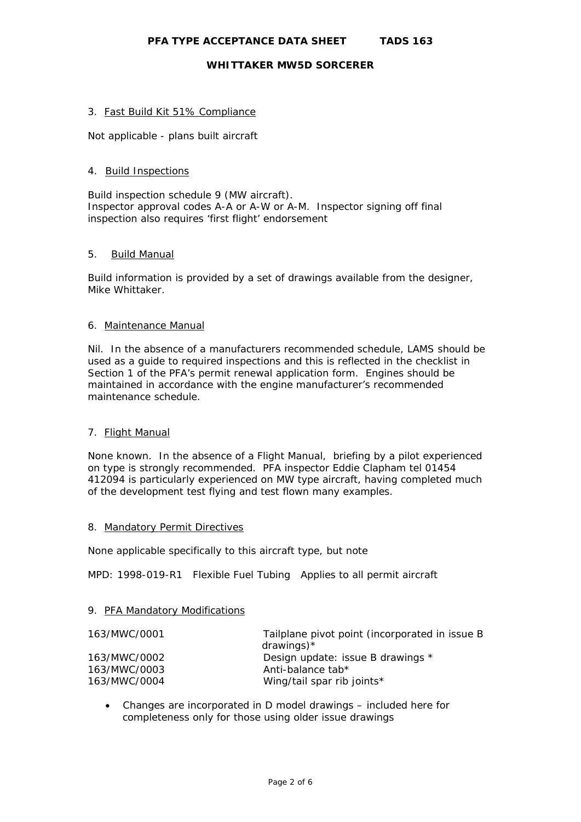### 3. Fast Build Kit 51% Compliance

Not applicable - plans built aircraft

### 4. Build Inspections

Build inspection schedule 9 (MW aircraft). Inspector approval codes A-A or A-W or A-M. Inspector signing off final inspection also requires 'first flight' endorsement

# 5. Build Manual

Build information is provided by a set of drawings available from the designer, Mike Whittaker.

# 6. Maintenance Manual

Nil. In the absence of a manufacturers recommended schedule, LAMS should be used as a guide to required inspections and this is reflected in the checklist in Section 1 of the PFA's permit renewal application form. Engines should be maintained in accordance with the engine manufacturer's recommended maintenance schedule.

# 7. Flight Manual

None known. In the absence of a Flight Manual, briefing by a pilot experienced on type is strongly recommended. PFA inspector Eddie Clapham tel 01454 412094 is particularly experienced on MW type aircraft, having completed much of the development test flying and test flown many examples.

#### 8. Mandatory Permit Directives

None applicable specifically to this aircraft type, but note

MPD: 1998-019-R1 Flexible Fuel Tubing Applies to all permit aircraft

#### 9. PFA Mandatory Modifications

| 163/MWC/0001 | Tailplane pivot point (incorporated in issue B<br>drawings) $*$ |
|--------------|-----------------------------------------------------------------|
| 163/MWC/0002 | Design update: issue B drawings *                               |
| 163/MWC/0003 | Anti-balance tab*                                               |
| 163/MWC/0004 | Wing/tail spar rib joints*                                      |

• Changes are incorporated in D model drawings – included here for completeness only for those using older issue drawings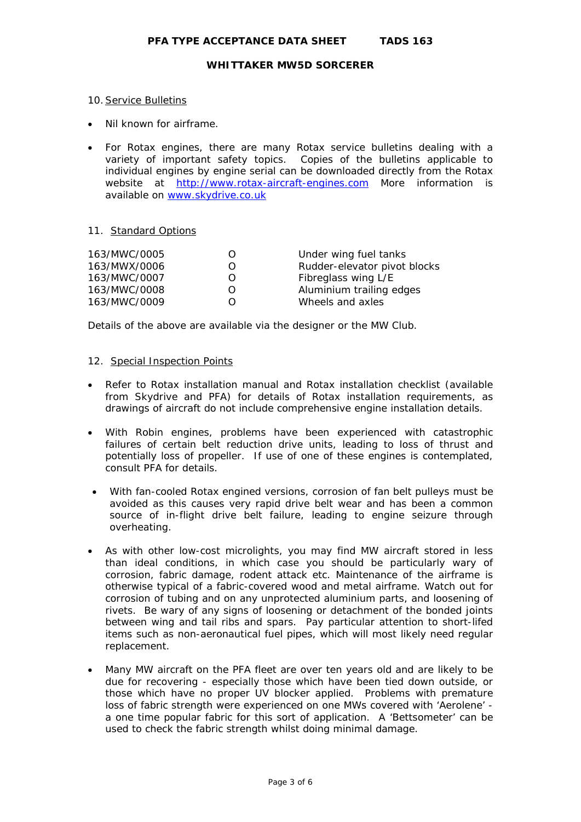#### 10. Service Bulletins

- Nil known for airframe.
- For Rotax engines, there are many Rotax service bulletins dealing with a variety of important safety topics. Copies of the bulletins applicable to individual engines by engine serial can be downloaded directly from the Rotax website at [http://www.rotax-aircraft-engines.com](http://www.rotax-aircraft-engines.com/) More information is available on [www.skydrive.co.uk](http://www.skydrive.co.uk/)

# 11. Standard Options

| 163/MWC/0005 | 0                | Under wing fuel tanks        |
|--------------|------------------|------------------------------|
| 163/MWX/0006 | 0                | Rudder-elevator pivot blocks |
| 163/MWC/0007 | $\left( \right)$ | Fibreglass wing L/E          |
| 163/MWC/0008 | 0                | Aluminium trailing edges     |
| 163/MWC/0009 | ( )              | Wheels and axles             |

Details of the above are available via the designer or the MW Club.

# 12. Special Inspection Points

- Refer to Rotax installation manual and Rotax installation checklist (available from Skydrive and PFA) for details of Rotax installation requirements, as drawings of aircraft do not include comprehensive engine installation details.
- With Robin engines, problems have been experienced with catastrophic failures of certain belt reduction drive units, leading to loss of thrust and potentially loss of propeller. If use of one of these engines is contemplated, consult PFA for details.
- With fan-cooled Rotax engined versions, corrosion of fan belt pulleys must be avoided as this causes very rapid drive belt wear and has been a common source of in-flight drive belt failure, leading to engine seizure through overheating.
- As with other low-cost microlights, you may find MW aircraft stored in less than ideal conditions, in which case you should be particularly wary of corrosion, fabric damage, rodent attack etc. Maintenance of the airframe is otherwise typical of a fabric-covered wood and metal airframe. Watch out for corrosion of tubing and on any unprotected aluminium parts, and loosening of rivets. Be wary of any signs of loosening or detachment of the bonded joints between wing and tail ribs and spars. Pay particular attention to short-lifed items such as non-aeronautical fuel pipes, which will most likely need regular replacement.
- Many MW aircraft on the PFA fleet are over ten years old and are likely to be due for recovering - especially those which have been tied down outside, or those which have no proper UV blocker applied. Problems with premature loss of fabric strength were experienced on one MWs covered with 'Aerolene' a one time popular fabric for this sort of application. A 'Bettsometer' can be used to check the fabric strength whilst doing minimal damage.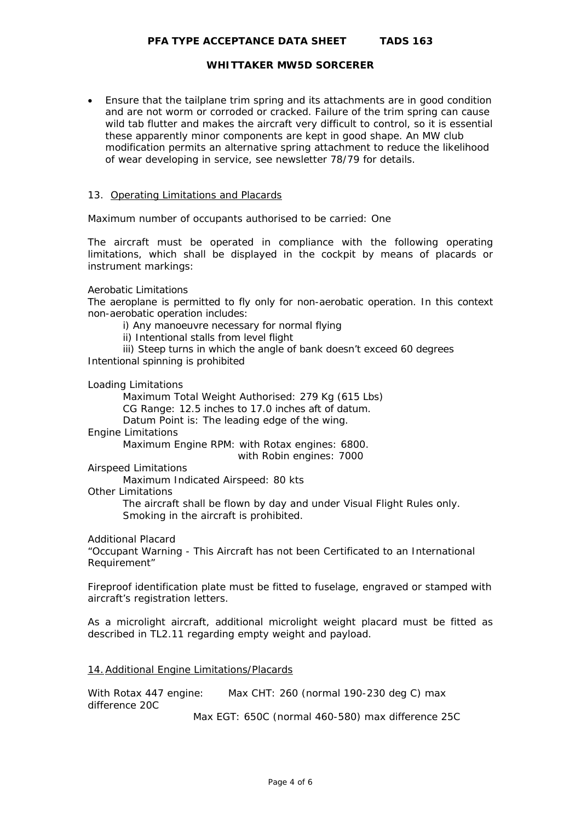# **PFA TYPE ACCEPTANCE DATA SHEET TADS 163**

# **WHITTAKER MW5D SORCERER**

• Ensure that the tailplane trim spring and its attachments are in good condition and are not worm or corroded or cracked. Failure of the trim spring can cause wild tab flutter and makes the aircraft very difficult to control, so it is essential these apparently minor components are kept in good shape. An MW club modification permits an alternative spring attachment to reduce the likelihood of wear developing in service, see newsletter 78/79 for details.

#### 13. Operating Limitations and Placards

Maximum number of occupants authorised to be carried: One

 The aircraft must be operated in compliance with the following operating limitations, which shall be displayed in the cockpit by means of placards or instrument markings:

#### Aerobatic Limitations

The aeroplane is permitted to fly only for non-aerobatic operation. In this context non-aerobatic operation includes:

i) Any manoeuvre necessary for normal flying

ii) Intentional stalls from level flight

iii) Steep turns in which the angle of bank doesn't exceed 60 degrees Intentional spinning is prohibited

Loading Limitations

Maximum Total Weight Authorised: 279 Kg (615 Lbs) CG Range: 12.5 inches to 17.0 inches aft of datum.

Datum Point is: The leading edge of the wing.

#### Engine Limitations

Maximum Engine RPM: with Rotax engines: 6800.

with Robin engines: 7000

Airspeed Limitations

Maximum Indicated Airspeed: 80 kts

Other Limitations

The aircraft shall be flown by day and under Visual Flight Rules only. Smoking in the aircraft is prohibited.

Additional Placard

"Occupant Warning - This Aircraft has not been Certificated to an International Requirement"

Fireproof identification plate must be fitted to fuselage, engraved or stamped with aircraft's registration letters.

As a microlight aircraft, additional microlight weight placard must be fitted as described in TL2.11 regarding empty weight and payload.

# 14.Additional Engine Limitations/Placards

With Rotax 447 engine: Max CHT: 260 (normal 190-230 deg C) max difference 20C

Max EGT: 650C (normal 460-580) max difference 25C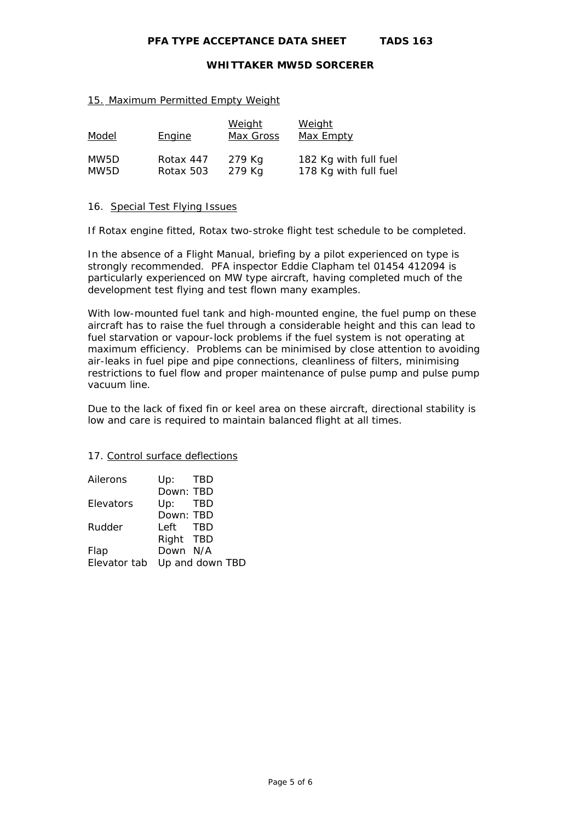**PFA TYPE ACCEPTANCE DATA SHEET TADS 163** 

### **WHITTAKER MW5D SORCERER**

#### 15. Maximum Permitted Empty Weight

| Model | Engine    | <u>Weight</u><br>Max Gross | <u>Weight</u><br>Max Empty |
|-------|-----------|----------------------------|----------------------------|
| MW5D  | Rotax 447 | 279 Kg                     | 182 Kg with full fuel      |
| MW5D  | Rotax 503 | 279 Kg                     | 178 Kg with full fuel      |

#### 16. Special Test Flying Issues

If Rotax engine fitted, Rotax two-stroke flight test schedule to be completed.

In the absence of a Flight Manual, briefing by a pilot experienced on type is strongly recommended. PFA inspector Eddie Clapham tel 01454 412094 is particularly experienced on MW type aircraft, having completed much of the development test flying and test flown many examples.

With low-mounted fuel tank and high-mounted engine, the fuel pump on these aircraft has to raise the fuel through a considerable height and this can lead to fuel starvation or vapour-lock problems if the fuel system is not operating at maximum efficiency. Problems can be minimised by close attention to avoiding air-leaks in fuel pipe and pipe connections, cleanliness of filters, minimising restrictions to fuel flow and proper maintenance of pulse pump and pulse pump vacuum line.

Due to the lack of fixed fin or keel area on these aircraft, directional stability is low and care is required to maintain balanced flight at all times.

#### 17. Control surface deflections

| Ailerons     | Up: TBD         |
|--------------|-----------------|
|              | Down: TBD       |
| Elevators    | $Up:$ TBD       |
|              | Down: TBD       |
| Rudder       | Left TBD        |
|              | Right TBD       |
| Flap         | Down N/A        |
| Elevator tab | Up and down TBD |